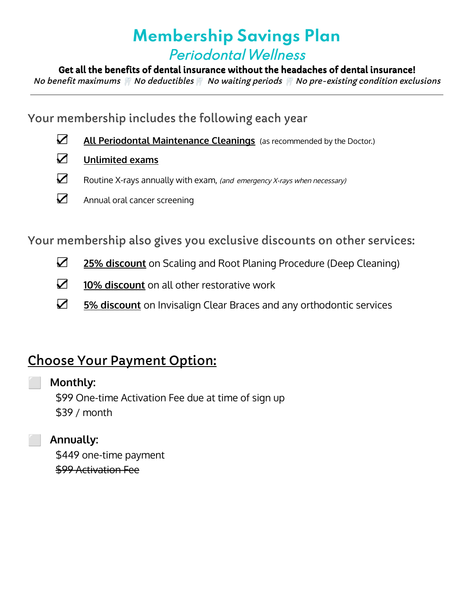# **Membership Savings Plan** PeriodontalWellness

Get all the benefits of dental insurance without the headaches of dental insurance!

No benefit maximums No deductibles No waiting periods No pre-existing condition exclusions

Your membership includes the following each year

- ☑ **All Periodontal Maintenance Cleanings** (as recommended by the Doctor.)
- ☑ **Unlimited exams**
- ☑ Routine X-rays annually with exam, (and emergency X-rays when necessary)
- ☑ Annual oral cancer screening

Your membership also gives you exclusive discounts on other services:

- ☑ **25% discount** on Scaling and Root Planing Procedure (Deep Cleaning)
- ☑ **10% discount** on all other restorative work
- ☑ **5% discount** on Invisalign Clear Braces and any orthodontic services

## Choose Your Payment Option:

## ⬜ **Monthly:**

\$99 One-time Activation Fee due at time of sign up \$39 / month

## ⬜ **Annually:**

\$449 one-time payment \$99 Activation Fee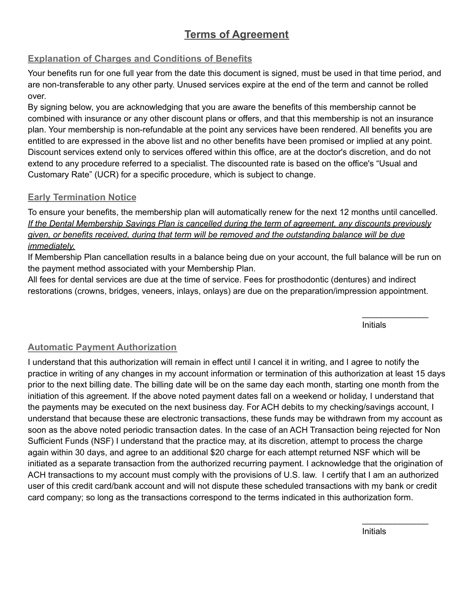## **Terms of Agreement**

#### **Explanation of Charges and Conditions of Benefits**

Your benefits run for one full year from the date this document is signed, must be used in that time period, and are non-transferable to any other party. Unused services expire at the end of the term and cannot be rolled over.

By signing below, you are acknowledging that you are aware the benefits of this membership cannot be combined with insurance or any other discount plans or offers, and that this membership is not an insurance plan. Your membership is non-refundable at the point any services have been rendered. All benefits you are entitled to are expressed in the above list and no other benefits have been promised or implied at any point. Discount services extend only to services offered within this office, are at the doctor's discretion, and do not extend to any procedure referred to a specialist. The discounted rate is based on the office's "Usual and Customary Rate" (UCR) for a specific procedure, which is subject to change.

#### **Early Termination Notice**

To ensure your benefits, the membership plan will automatically renew for the next 12 months until cancelled. *If the Dental Membership Savings Plan is cancelled during the term of agreement, any discounts previously given, or benefits received, during that term will be removed and the outstanding balance will be due immediately.*

If Membership Plan cancellation results in a balance being due on your account, the full balance will be run on the payment method associated with your Membership Plan.

All fees for dental services are due at the time of service. Fees for prosthodontic (dentures) and indirect restorations (crowns, bridges, veneers, inlays, onlays) are due on the preparation/impression appointment.

Initials

 $\mathcal{L}_\text{max}$  . The set of the set of the set of the set of the set of the set of the set of the set of the set of the set of the set of the set of the set of the set of the set of the set of the set of the set of the set

#### **Automatic Payment Authorization**

I understand that this authorization will remain in effect until I cancel it in writing, and I agree to notify the practice in writing of any changes in my account information or termination of this authorization at least 15 days prior to the next billing date. The billing date will be on the same day each month, starting one month from the initiation of this agreement. If the above noted payment dates fall on a weekend or holiday, I understand that the payments may be executed on the next business day. For ACH debits to my checking/savings account, I understand that because these are electronic transactions, these funds may be withdrawn from my account as soon as the above noted periodic transaction dates. In the case of an ACH Transaction being rejected for Non Sufficient Funds (NSF) I understand that the practice may, at its discretion, attempt to process the charge again within 30 days, and agree to an additional \$20 charge for each attempt returned NSF which will be initiated as a separate transaction from the authorized recurring payment. I acknowledge that the origination of ACH transactions to my account must comply with the provisions of U.S. law. I certify that I am an authorized user of this credit card/bank account and will not dispute these scheduled transactions with my bank or credit card company; so long as the transactions correspond to the terms indicated in this authorization form.

Initials

 $\overline{\phantom{a}}$  , where  $\overline{\phantom{a}}$